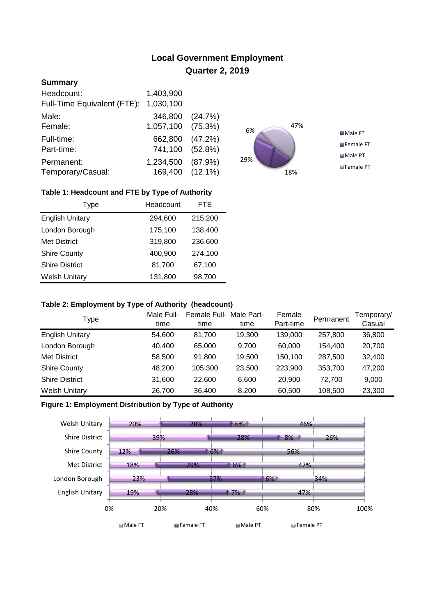# **Local Government Employment Quarter 2, 2019**

## **Summary**

| Headcount:                  | 1,403,900         |         |
|-----------------------------|-------------------|---------|
| Full-Time Equivalent (FTE): | 1,030,100         |         |
| Male:                       | 346,800 (24.7%)   |         |
| Female:                     | 1,057,100 (75.3%) |         |
| Full-time:                  | 662,800           | (47.2%) |
| Part-time:                  | 741,100 (52.8%)   |         |
| Permanent:                  | 1,234,500         | (87.9%  |
| Temporary/Casual:           | 169,400 (12.1%)   |         |



### **Table 1: Headcount and FTE by Type of Authority**

| <b>Type</b>            | Headcount | FTE     |
|------------------------|-----------|---------|
| <b>English Unitary</b> | 294,600   | 215,200 |
| London Borough         | 175,100   | 138,400 |
| <b>Met District</b>    | 319,800   | 236,600 |
| <b>Shire County</b>    | 400,900   | 274,100 |
| <b>Shire District</b>  | 81,700    | 67,100  |
| <b>Welsh Unitary</b>   | 131,800   | 98,700  |

#### **Table 2: Employment by Type of Authority (headcount)**

| Type                   | Male Full-<br>time | Female Full-<br>time | Male Part-<br>time | Female<br>Part-time | Permanent | Temporary/<br>Casual |
|------------------------|--------------------|----------------------|--------------------|---------------------|-----------|----------------------|
| <b>English Unitary</b> | 54,600             | 81.700               | 19,300             | 139,000             | 257,800   | 36,800               |
| London Borough         | 40,400             | 65,000               | 9.700              | 60,000              | 154.400   | 20,700               |
| <b>Met District</b>    | 58,500             | 91,800               | 19,500             | 150,100             | 287,500   | 32,400               |
| <b>Shire County</b>    | 48,200             | 105,300              | 23,500             | 223,900             | 353,700   | 47,200               |
| <b>Shire District</b>  | 31,600             | 22,600               | 6,600              | 20,900              | 72.700    | 9,000                |
| <b>Welsh Unitary</b>   | 26,700             | 36,400               | 8,200              | 60,500              | 108,500   | 23,300               |

#### **Figure 1: Employment Distribution by Type of Authority**